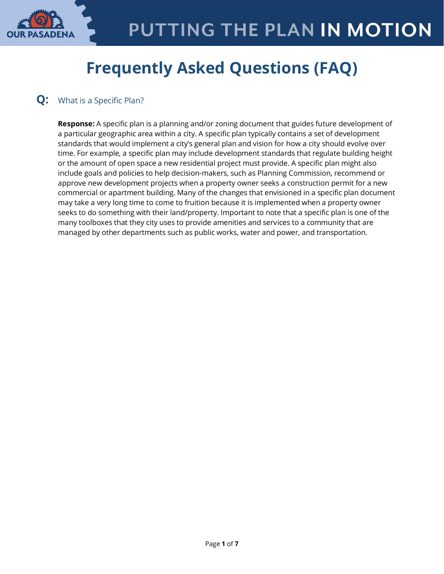

# **Frequently Asked Questions (FAQ)**

## **Q:** What is a Specific Plan?

**Response:** A specific plan is a planning and/or zoning document that guides future development of a particular geographic area within a city. A specific plan typically contains a set of development standards that would implement a city's general plan and vision for how a city should evolve over time. For example, a specific plan may include development standards that regulate building height or the amount of open space a new residential project must provide. A specific plan might also include goals and policies to help decision-makers, such as Planning Commission, recommend or approve new development projects when a property owner seeks a construction permit for a new commercial or apartment building. Many of the changes that envisioned in a specific plan document may take a very long time to come to fruition because it is implemented when a property owner seeks to do something with their land/property. Important to note that a specific plan is one of the many toolboxes that they city uses to provide amenities and services to a community that are managed by other departments such as public works, water and power, and transportation.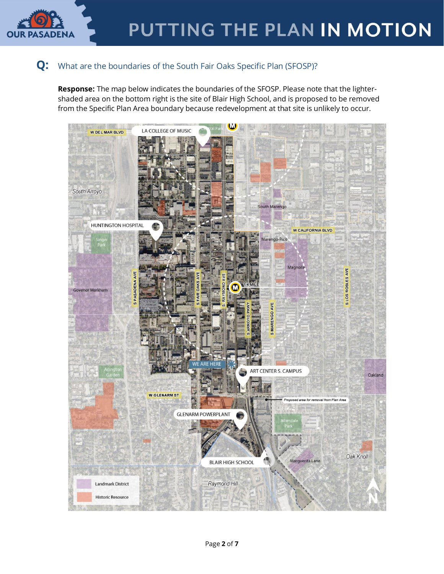

## **Q:** What are the boundaries of the South Fair Oaks Specific Plan (SFOSP)?

**Response:** The map below indicates the boundaries of the SFOSP. Please note that the lightershaded area on the bottom right is the site of Blair High School, and is proposed to be removed from the Specific Plan Area boundary because redevelopment at that site is unlikely to occur.

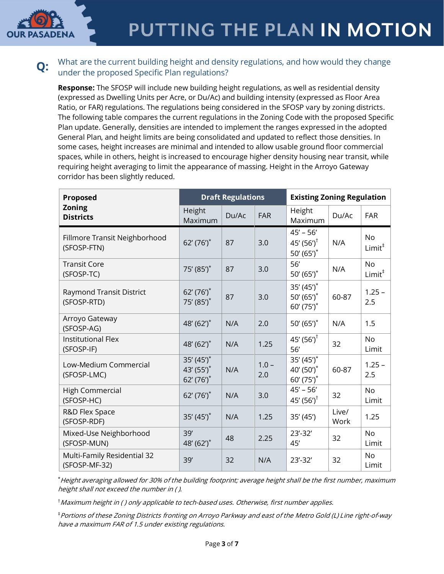

# PUTTING THE PLAN IN MOTION

### **Q:** What are the current building height and density regulations, and how would they change under the proposed Specific Plan regulations?

**Response:** The SFOSP will include new building height regulations, as well as residential density (expressed as Dwelling Units per Acre, or Du/Ac) and building intensity (expressed as Floor Area Ratio, or FAR) regulations. The regulations being considered in the SFOSP vary by zoning districts. The following table compares the current regulations in the Zoning Code with the proposed Specific Plan update. Generally, densities are intended to implement the ranges expressed in the adopted General Plan, and height limits are being consolidated and updated to reflect those densities. In some cases, height increases are minimal and intended to allow usable ground floor commercial spaces, while in others, height is increased to encourage higher density housing near transit, while requiring height averaging to limit the appearance of massing. Height in the Arroyo Gateway corridor has been slightly reduced.

| Proposed                                       | <b>Draft Regulations</b>                    |       |                | <b>Existing Zoning Regulation</b>                     |               |                                 |
|------------------------------------------------|---------------------------------------------|-------|----------------|-------------------------------------------------------|---------------|---------------------------------|
| <b>Zoning</b><br><b>Districts</b>              | Height<br>Maximum                           | Du/Ac | <b>FAR</b>     | Height<br>Maximum                                     | Du/Ac         | <b>FAR</b>                      |
| Fillmore Transit Neighborhood<br>(SFOSP-FTN)   | $62' (76')$ *                               | 87    | 3.0            | $45' - 56'$<br>45' $(56')^{\dagger}$<br>50' $(65')^*$ | N/A           | <b>No</b><br>Limit <sup>‡</sup> |
| <b>Transit Core</b><br>(SFOSP-TC)              | 75' (85') <sup>*</sup>                      | 87    | 3.0            | 56'<br>50'(65')                                       | N/A           | <b>No</b><br>Limit <sup>‡</sup> |
| <b>Raymond Transit District</b><br>(SFOSP-RTD) | $62' (76')$ *<br>75' (85')*                 | 87    | 3.0            | $35'(45')$ *<br>50' $(65')^*$<br>60' (75')*           | 60-87         | $1.25 -$<br>2.5                 |
| Arroyo Gateway<br>(SFOSP-AG)                   | 48' (62') <sup>*</sup>                      | N/A   | 2.0            | 50' $(65')^*$                                         | N/A           | 1.5                             |
| <b>Institutional Flex</b><br>(SFOSP-IF)        | 48' (62')*                                  | N/A   | 1.25           | 45' $(56')^{\dagger}$<br>56'                          | 32            | <b>No</b><br>Limit              |
| Low-Medium Commercial<br>(SFOSP-LMC)           | $35'(45')$ *<br>43' (55')*<br>$62' (76')$ * | N/A   | $1.0 -$<br>2.0 | $35'(45')$ *<br>40' (50')*<br>$60'(75')$ *            | 60-87         | $1.25 -$<br>2.5                 |
| <b>High Commercial</b><br>(SFOSP-HC)           | $62' (76')$ *                               | N/A   | 3.0            | $45' - 56'$<br>45' $(56')^{\dagger}$                  | 32            | <b>No</b><br>Limit              |
| R&D Flex Space<br>(SFOSP-RDF)                  | $35'(45')$ *                                | N/A   | 1.25           | 35' (45')                                             | Live/<br>Work | 1.25                            |
| Mixed-Use Neighborhood<br>(SFOSP-MUN)          | 39'<br>48' (62')*                           | 48    | 2.25           | $23' - 32'$<br>45'                                    | 32            | <b>No</b><br>Limit              |
| Multi-Family Residential 32<br>(SFOSP-MF-32)   | 39'                                         | 32    | N/A            | $23' - 32'$                                           | 32            | <b>No</b><br>Limit              |

\*Height averaging allowed for 30% of the building footprint; average height shall be the first number, maximum height shall not exceed the number in ( ).

†Maximum height in ( ) only applicable to tech-based uses. Otherwise, first number applies.

‡Portions of these Zoning Districts fronting on Arroyo Parkway and east of the Metro Gold (L) Line right-of-way have a maximum FAR of 1.5 under existing regulations.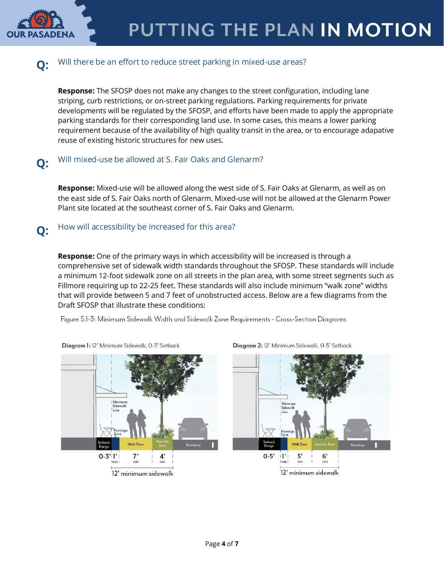

Diagram 2: 12' Minimum Sidewalk, 0-5' Setback

## **Q:** Will there be an effort to reduce street parking in mixed-use areas?

**Response:** The SFOSP does not make any changes to the street configuration, including lane striping, curb restrictions, or on-street parking regulations. Parking requirements for private developments will be regulated by the SFOSP, and efforts have been made to apply the appropriate parking standards for their corresponding land use. In some cases, this means a lower parking requirement because of the availability of high quality transit in the area, or to encourage adapative reuse of existing historic structures for new uses.

# **Q:** Will mixed-use be allowed at S. Fair Oaks and Glenarm?

**Response:** Mixed-use will be allowed along the west side of S. Fair Oaks at Glenarm, as well as on the east side of S. Fair Oaks north of Glenarm. Mixed-use will not be allowed at the Glenarm Power Plant site located at the southeast corner of S. Fair Oaks and Glenarm.

# **Q:** How will accessibility be increased for this area?

**Response:** One of the primary ways in which accessibility will be increased is through a comprehensive set of sidewalk width standards throughout the SFOSP. These standards will include a minimum 12-foot sidewalk zone on all streets in the plan area, with some street segments such as Fillmore requiring up to 22-25 feet. These standards will also include minimum "walk zone" widths that will provide between 5 and 7 feet of unobstructed access. Below are a few diagrams from the Draft SFOSP that illustrate these conditions:

Figure 5.1-3: Minimum Sidewalk Width and Sidewalk Zone Requirements - Cross-Section Diagrams



Diagram 1: 12' Minimum Sidewalk, 0-3' Setback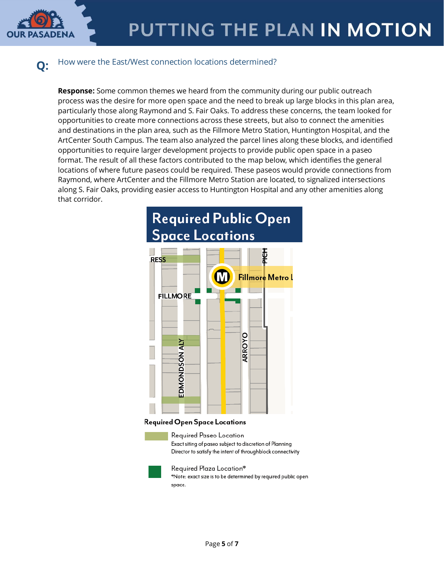

# **Q:** How were the East/West connection locations determined?

**Response:** Some common themes we heard from the community during our public outreach process was the desire for more open space and the need to break up large blocks in this plan area, particularly those along Raymond and S. Fair Oaks. To address these concerns, the team looked for opportunities to create more connections across these streets, but also to connect the amenities and destinations in the plan area, such as the Fillmore Metro Station, Huntington Hospital, and the ArtCenter South Campus. The team also analyzed the parcel lines along these blocks, and identified opportunities to require larger development projects to provide public open space in a paseo format. The result of all these factors contributed to the map below, which identifies the general locations of where future paseos could be required. These paseos would provide connections from Raymond, where ArtCenter and the Fillmore Metro Station are located, to signalized intersections along S. Fair Oaks, providing easier access to Huntington Hospital and any other amenities along that corridor.



#### Required Open Space Locations





Required Plaza Location\* \*Note: exact size is to be determined by required public open space.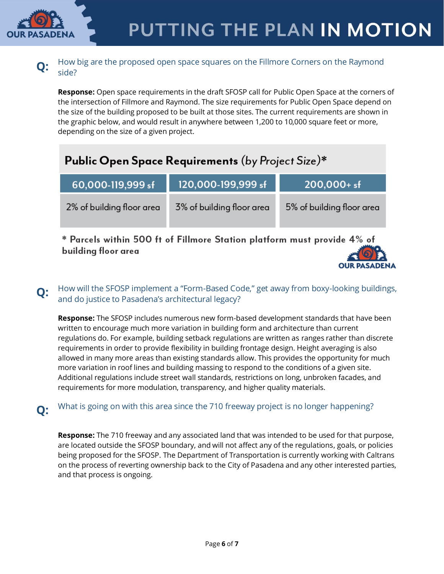

### **Q:** How big are the proposed open space squares on the Fillmore Corners on the Raymond side?

**Response:** Open space requirements in the draft SFOSP call for Public Open Space at the corners of the intersection of Fillmore and Raymond. The size requirements for Public Open Space depend on the size of the building proposed to be built at those sites. The current requirements are shown in the graphic below, and would result in anywhere between 1,200 to 10,000 square feet or more, depending on the size of a given project.

|  | Public Open Space Requirements (by Project Size)* |
|--|---------------------------------------------------|
|  |                                                   |

| 120,000-199,999 sf        | $200,000+$ sf             |  |  |
|---------------------------|---------------------------|--|--|
| 3% of building floor area | 5% of building floor area |  |  |
|                           |                           |  |  |

 $\,^*$  Parcels within 500 ft of Fillmore Station platform must provide 4% of building floor area



## **Q:** How will the SFOSP implement a "Form-Based Code," get away from boxy-looking buildings, and do justice to Pasadena's architectural legacy?

**Response:** The SFOSP includes numerous new form-based development standards that have been written to encourage much more variation in building form and architecture than current regulations do. For example, building setback regulations are written as ranges rather than discrete requirements in order to provide flexibility in building frontage design. Height averaging is also allowed in many more areas than existing standards allow. This provides the opportunity for much more variation in roof lines and building massing to respond to the conditions of a given site. Additional regulations include street wall standards, restrictions on long, unbroken facades, and requirements for more modulation, transparency, and higher quality materials.

# **Q:** What is going on with this area since the 710 freeway project is no longer happening?

**Response:** The 710 freeway and any associated land that was intended to be used for that purpose, are located outside the SFOSP boundary, and will not affect any of the regulations, goals, or policies being proposed for the SFOSP. The Department of Transportation is currently working with Caltrans on the process of reverting ownership back to the City of Pasadena and any other interested parties, and that process is ongoing.